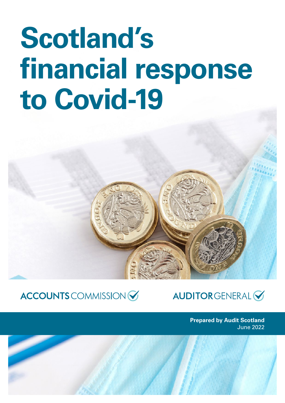# **Scotland's financial response to Covid‑19**

## ACCOUNTS COMMISSION

### **AUDITORGENERAL**

**Prepared by Audit Scotland** June 2022

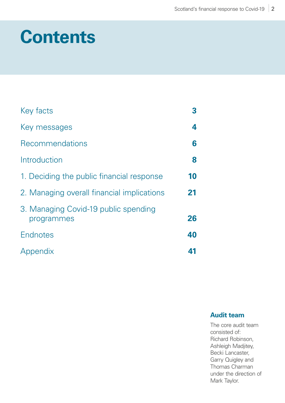## **Contents**

| Key facts                                          | 3  |
|----------------------------------------------------|----|
| Key messages                                       | 4  |
| Recommendations                                    | 6  |
| Introduction                                       | 8  |
| 1. Deciding the public financial response          | 10 |
| 2. Managing overall financial implications         | 21 |
| 3. Managing Covid-19 public spending<br>programmes | 26 |
| <b>Endnotes</b>                                    | 40 |
| Appendix                                           | 41 |

#### **Audit team**

The core audit team consisted of: Richard Robinson, Ashleigh Madjitey, Becki Lancaster, Garry Quigley and Thomas Charman under the direction of Mark Taylor.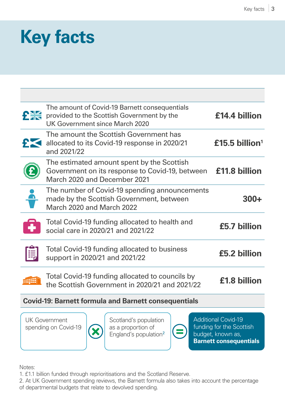## <span id="page-2-0"></span>**Key facts**

| The amount of Covid-19 Barnett consequentials<br>provided to the Scottish Government by the<br><b>UK Government since March 2020</b> | £14.4 billion                                   |
|--------------------------------------------------------------------------------------------------------------------------------------|-------------------------------------------------|
| The amount the Scottish Government has<br>allocated to its Covid-19 response in 2020/21<br>and 2021/22                               | £15.5 billion <sup>1</sup>                      |
| The estimated amount spent by the Scottish<br>March 2020 and December 2021                                                           | £11.8 billion                                   |
| The number of Covid-19 spending announcements<br>made by the Scottish Government, between<br>March 2020 and March 2022               | 300+                                            |
| Total Covid-19 funding allocated to health and<br>social care in 2020/21 and 2021/22                                                 | £5.7 billion                                    |
| <b>Total Covid-19 funding allocated to business</b><br>support in 2020/21 and 2021/22                                                | £5.2 billion                                    |
| Total Covid-19 funding allocated to councils by<br>the Scottish Government in 2020/21 and 2021/22                                    | £1.8 billion                                    |
| <b>PHE</b>                                                                                                                           | Government on its response to Covid-19, between |

#### **Covid‑19: Barnett formula and Barnett consequentials**

UK Government spending on Covid-19



Scotland's population as a proportion of England's population<sup>2</sup>



**Additional Covid-19** funding for the Scottish budget, known as, **Barnett consequentials**

Notes:

1. £1.1 billion funded through reprioritisations and the Scotland Reserve.

2. At UK Government spending reviews, the Barnett formula also takes into account the percentage of departmental budgets that relate to devolved spending.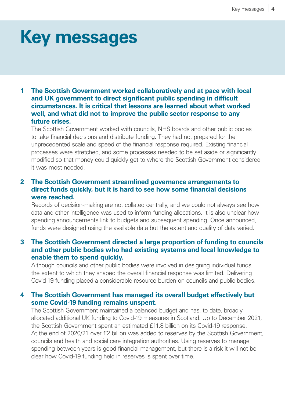## <span id="page-3-0"></span>**Key messages**

#### **1 The Scottish Government worked collaboratively and at pace with local and UK government to direct significant public spending in difficult circumstances. It is critical that lessons are learned about what worked well, and what did not to improve the public sector response to any future crises.**

The Scottish Government worked with councils, NHS boards and other public bodies to take financial decisions and distribute funding. They had not prepared for the unprecedented scale and speed of the financial response required. Existing financial processes were stretched, and some processes needed to be set aside or significantly modified so that money could quickly get to where the Scottish Government considered it was most needed.

#### **2 The Scottish Government streamlined governance arrangements to direct funds quickly, but it is hard to see how some financial decisions were reached.**

Records of decision-making are not collated centrally, and we could not always see how data and other intelligence was used to inform funding allocations. It is also unclear how spending announcements link to budgets and subsequent spending. Once announced, funds were designed using the available data but the extent and quality of data varied.

#### **3 The Scottish Government directed a large proportion of funding to councils and other public bodies who had existing systems and local knowledge to enable them to spend quickly.**

Although councils and other public bodies were involved in designing individual funds, the extent to which they shaped the overall financial response was limited. Delivering Covid‑19 funding placed a considerable resource burden on councils and public bodies.

#### **4 The Scottish Government has managed its overall budget effectively but some Covid‑19 funding remains unspent.**

The Scottish Government maintained a balanced budget and has, to date, broadly allocated additional UK funding to Covid‑19 measures in Scotland. Up to December 2021, the Scottish Government spent an estimated £11.8 billion on its Covid-19 response. At the end of 2020/21 over £2 billion was added to reserves by the Scottish Government, councils and health and social care integration authorities. Using reserves to manage spending between years is good financial management, but there is a risk it will not be clear how Covid-19 funding held in reserves is spent over time.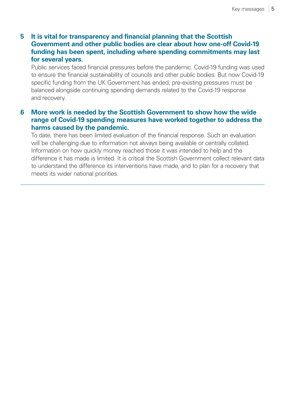#### **5 It is vital for transparency and financial planning that the Scottish Government and other public bodies are clear about how one-off Covid‑19 funding has been spent, including where spending commitments may last for several years.**

Public services faced financial pressures before the pandemic. Covid-19 funding was used to ensure the financial sustainability of councils and other public bodies. But now Covid-19 specific funding from the UK Government has ended, pre-existing pressures must be balanced alongside continuing spending demands related to the Covid-19 response and recovery.

#### **6 More work is needed by the Scottish Government to show how the wide range of Covid‑19 spending measures have worked together to address the harms caused by the pandemic.**

To date, there has been limited evaluation of the financial response. Such an evaluation will be challenging due to information not always being available or centrally collated. Information on how quickly money reached those it was intended to help and the difference it has made is limited. It is critical the Scottish Government collect relevant data to understand the difference its interventions have made, and to plan for a recovery that meets its wider national priorities.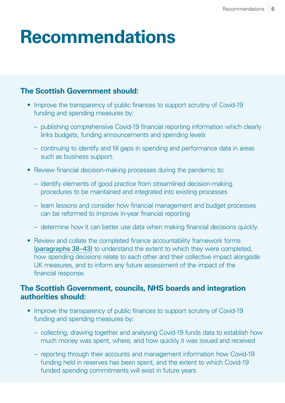## <span id="page-5-0"></span>**Recommendations**

### **The Scottish Government should:**

- Improve the transparency of public finances to support scrutiny of Covid-19 funding and spending measures by:
	- publishing comprehensive Covid‑19 financial reporting information which clearly links budgets, funding announcements and spending levels
	- continuing to identify and fill gaps in spending and performance data in areas such as business support.
- Review financial decision-making processes during the pandemic to:
	- identify elements of good practice from streamlined decision-making procedures to be maintained and integrated into existing processes
	- learn lessons and consider how financial management and budget processes can be reformed to improve in-year financial reporting
	- determine how it can better use data when making financial decisions quickly.
- Review and collate the completed finance accountability framework forms [\(paragraphs 38–](#page-18-0)[43\)](#page-19-0) to understand the extent to which they were completed, how spending decisions relate to each other and their collective impact alongside UK measures, and to inform any future assessment of the impact of the financial response.

#### **The Scottish Government, councils, NHS boards and integration authorities should:**

- Improve the transparency of public finances to support scrutiny of Covid-19 funding and spending measures by:
	- collecting, drawing together and analysing Covid‑19 funds data to establish how much money was spent, where, and how quickly it was issued and received
	- reporting through their accounts and management information how Covid‑19 funding held in reserves has been spent, and the extent to which Covid-19 funded spending commitments will exist in future years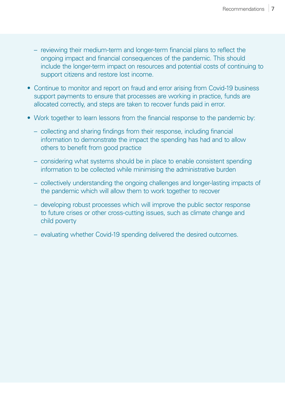- reviewing their medium-term and longer-term financial plans to reflect the ongoing impact and financial consequences of the pandemic. This should include the longer-term impact on resources and potential costs of continuing to support citizens and restore lost income.
- Continue to monitor and report on fraud and error arising from Covid-19 business support payments to ensure that processes are working in practice, funds are allocated correctly, and steps are taken to recover funds paid in error.
- Work together to learn lessons from the financial response to the pandemic by:
	- collecting and sharing findings from their response, including financial information to demonstrate the impact the spending has had and to allow others to benefit from good practice
	- considering what systems should be in place to enable consistent spending information to be collected while minimising the administrative burden
	- collectively understanding the ongoing challenges and longer-lasting impacts of the pandemic which will allow them to work together to recover
	- developing robust processes which will improve the public sector response to future crises or other cross-cutting issues, such as climate change and child poverty
	- evaluating whether Covid‑19 spending delivered the desired outcomes.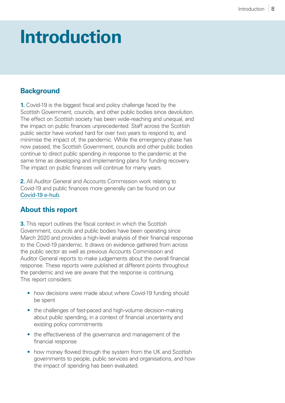## <span id="page-7-0"></span>**Introduction**

#### **Background**

**1.** Covid-19 is the biggest fiscal and policy challenge faced by the Scottish Government, councils, and other public bodies since devolution. The effect on Scottish society has been wide-reaching and unequal, and the impact on public finances unprecedented. Staff across the Scottish public sector have worked hard for over two years to respond to, and minimise the impact of, the pandemic. While the emergency phase has now passed, the Scottish Government, councils and other public bodies continue to direct public spending in response to the pandemic at the same time as developing and implementing plans for funding recovery. The impact on public finances will continue for many years.

**2.** All Auditor General and Accounts Commission work relating to Covid‑19 and public finances more generally can be found on our [Covid‑19 e-hub](https://www.audit-scotland.gov.uk/covid-19).

#### **About this report**

**3.** This report outlines the fiscal context in which the Scottish Government, councils and public bodies have been operating since March 2020 and provides a high-level analysis of their financial response to the Covid‑19 pandemic. It draws on evidence gathered from across the public sector as well as previous Accounts Commission and Auditor General reports to make judgements about the overall financial response. These reports were published at different points throughout the pandemic and we are aware that the response is continuing. This report considers:

- how decisions were made about where Covid-19 funding should be spent
- the challenges of fast-paced and high-volume decision-making about public spending, in a context of financial uncertainty and existing policy commitments
- the effectiveness of the governance and management of the financial response
- how money flowed through the system from the UK and Scottish governments to people, public services and organisations, and how the impact of spending has been evaluated.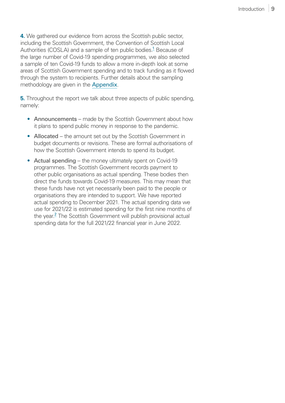<span id="page-8-0"></span>**4.** We gathered our evidence from across the Scottish public sector, including the Scottish Government, the Convention of Scottish Local Authorities (COSLA) and a sample of ten public bodies.<sup>[1](#page-39-0)</sup> Because of the large number of Covid‑19 spending programmes, we also selected a sample of ten Covid‑19 funds to allow a more in-depth look at some areas of Scottish Government spending and to track funding as it flowed through the system to recipients. Further details about the sampling methodology are given in the [Appendix](#page-40-1).

**5.** Throughout the report we talk about three aspects of public spending, namely:

- Announcements made by the Scottish Government about how it plans to spend public money in response to the pandemic.
- Allocated the amount set out by the Scottish Government in budget documents or revisions. These are formal authorisations of how the Scottish Government intends to spend its budget.
- Actual spending the money ultimately spent on Covid-19 programmes. The Scottish Government records payment to other public organisations as actual spending. These bodies then direct the funds towards Covid‑19 measures. This may mean that these funds have not yet necessarily been paid to the people or organisations they are intended to support. We have reported actual spending to December 2021. The actual spending data we use for 2021/22 is estimated spending for the first nine months of the year.<sup>[2](#page-39-0)</sup> The Scottish Government will publish provisional actual spending data for the full 2021/22 financial year in June 2022.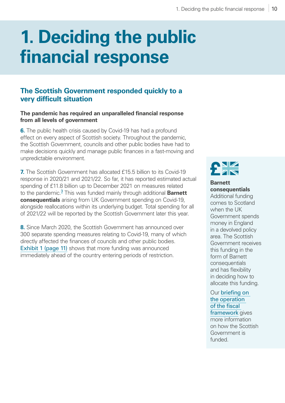## <span id="page-9-0"></span>**1. Deciding the public financial response**

#### **The Scottish Government responded quickly to a very difficult situation**

#### **The pandemic has required an unparalleled financial response from all levels of government**

**6.** The public health crisis caused by Covid-19 has had a profound effect on every aspect of Scottish society. Throughout the pandemic, the Scottish Government, councils and other public bodies have had to make decisions quickly and manage public finances in a fast-moving and unpredictable environment.

**7.** The Scottish Government has allocated £15.5 billion to its Covid-19 response in 2020/21 and 2021/22. So far, it has reported estimated actual spending of £11.8 billion up to December 2021 on measures related to the pandemic.<sup>[3](#page-39-0)</sup> This was funded mainly through additional **Barnett consequentials** arising from UK Government spending on Covid-19, alongside reallocations within its underlying budget. Total spending for all of 2021/22 will be reported by the Scottish Government later this year.

**8.** Since March 2020, the Scottish Government has announced over 300 separate spending measures relating to Covid‑19, many of which directly affected the finances of councils and other public bodies. [Exhibit 1 \(page 11\)](#page-10-0) shows that more funding was announced immediately ahead of the country entering periods of restriction.



#### **Barnett consequentials**

Additional funding comes to Scotland when the UK Government spends money in England in a devolved policy area. The Scottish Government receives this funding in the form of Barnett consequentials and has flexibility in deciding how to allocate this funding.

Our briefin[g on](https://www.audit-scotland.gov.uk/publications/scotlands-new-financial-powers-operation-of-the-fiscal-framework-201819)  [the operation](https://www.audit-scotland.gov.uk/publications/scotlands-new-financial-powers-operation-of-the-fiscal-framework-201819)  [of the fiscal](https://www.audit-scotland.gov.uk/publications/scotlands-new-financial-powers-operation-of-the-fiscal-framework-201819)  [framework](https://www.audit-scotland.gov.uk/publications/scotlands-new-financial-powers-operation-of-the-fiscal-framework-201819) gives more information on how the Scottish Government is funded.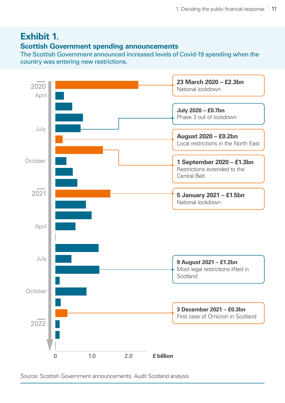### <span id="page-10-0"></span>**Exhibit 1.**

#### **Scottish Government spending announcements**

The Scottish Government announced increased levels of Covid-19 spending when the country was entering new restrictions.



Source: Scottish Government announcements, Audit Scotland analysis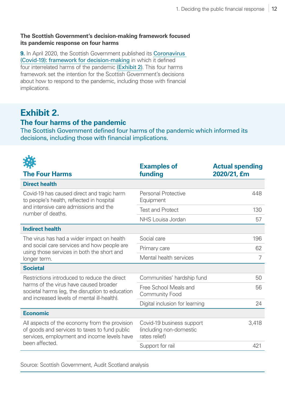#### **The Scottish Government's decision-making framework focused its pandemic response on four harms**

**9.** In April 2020, the Scottish Government published its Coronavirus [\(Covid‑19\): framework for decision-making](https://www.gov.scot/publications/coronavirus-covid-19-framework-decision-making/documents/) in which it defined four interrelated harms of the pandemic [\(Exhibit 2\)](#page-11-0). This four harms framework set the intention for the Scottish Government's decisions about how to respond to the pandemic, including those with financial implications.

### <span id="page-11-0"></span>**Exhibit 2.**

#### **The four harms of the pandemic**

The Scottish Government defined four harms of the pandemic which informed its decisions, including those with financial implications.

| <b>The Four Harms</b>                                                                                                                         | <b>Examples of</b><br>funding                                         | <b>Actual spending</b><br>2020/21, £m |
|-----------------------------------------------------------------------------------------------------------------------------------------------|-----------------------------------------------------------------------|---------------------------------------|
| <b>Direct health</b>                                                                                                                          |                                                                       |                                       |
| Covid-19 has caused direct and tragic harm<br>to people's health, reflected in hospital                                                       | <b>Personal Protective</b><br>Equipment                               | 448                                   |
| and intensive care admissions and the<br>number of deaths.                                                                                    | <b>Test and Protect</b>                                               | 130                                   |
|                                                                                                                                               | NHS Louisa Jordan                                                     | 57                                    |
| <b>Indirect health</b>                                                                                                                        |                                                                       |                                       |
| The virus has had a wider impact on health                                                                                                    | Social care                                                           | 196                                   |
| and social care services and how people are<br>using those services in both the short and                                                     | Primary care                                                          | 62                                    |
| longer term.                                                                                                                                  | Mental health services                                                | 7                                     |
| <b>Societal</b>                                                                                                                               |                                                                       |                                       |
| Restrictions introduced to reduce the direct                                                                                                  | Communities' hardship fund                                            | 50                                    |
| harms of the virus have caused broader<br>societal harms (eg, the disruption to education<br>and increased levels of mental ill-health).      | Free School Meals and<br><b>Community Food</b>                        | 56                                    |
|                                                                                                                                               | Digital inclusion for learning                                        | 24                                    |
| <b>Economic</b>                                                                                                                               |                                                                       |                                       |
| All aspects of the economy from the provision<br>of goods and services to taxes to fund public<br>services, employment and income levels have | Covid-19 business support<br>(including non-domestic<br>rates relief) | 3,418                                 |
| been affected.                                                                                                                                | Support for rail                                                      | 421                                   |

Source: Scottish Government, Audit Scotland analysis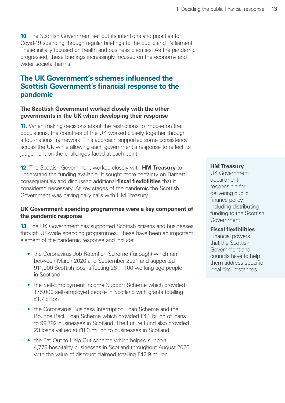**10.** The Scottish Government set out its intentions and priorities for Covid‑19 spending through regular briefings to the public and Parliament. These initially focused on health and business priorities. As the pandemic progressed, these briefings increasingly focused on the economy and wider societal harms.

#### **The UK Government's schemes influenced the Scottish Government's financial response to the pandemic**

#### **The Scottish Government worked closely with the other governments in the UK when developing their response**

**11.** When making decisions about the restrictions to impose on their populations, the countries of the UK worked closely together through a four-nations framework. This approach supported some consistency across the UK while allowing each government's response to reflect its judgement on the challenges faced at each point.

**12.** The Scottish Government worked closely with **HM Treasury** to understand the funding available. It sought more certainty on Barnett consequentials and discussed additional **fiscal flexibilities** that it considered necessary. At key stages of the pandemic the Scottish Government was having daily calls with HM Treasury.

#### **UK Government spending programmes were a key component of the pandemic response**

**13.** The UK Government has supported Scottish citizens and businesses through UK-wide spending programmes. These have been an important element of the pandemic response and include:

- the Coronavirus Job Retention Scheme (furlough) which ran between March 2020 and September 2021 and supported 911,900 Scottish jobs, affecting 26 in 100 working age people in Scotland
- the Self-Employment Income Support Scheme which provided 175,000 self-employed people in Scotland with grants totalling £1.7 billion
- the Coronavirus Business Interruption Loan Scheme and the Bounce Back Loan Scheme which provided £4.1 billion of loans to 99,792 businesses in Scotland. The Future Fund also provided 23 loans valued at £8.3 million to businesses in Scotland
- the Eat Out to Help Out scheme which helped support 4,775 hospitality businesses in Scotland throughout August 2020, with the value of discount claimed totalling £42.9 million.

#### **HM Treasury**

UK Government department responsible for delivering public finance policy, including distributing funding to the Scottish Government.

#### **Fiscal flexibilities**

Financial powers that the Scottish Government and councils have to help them address specific local circumstances.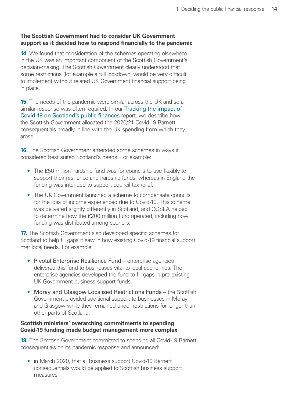#### **The Scottish Government had to consider UK Government support as it decided how to respond financially to the pandemic**

**14.** We found that consideration of the schemes operating elsewhere in the UK was an important component of the Scottish Government's decision-making. The Scottish Government clearly understood that some restrictions (for example a full lockdown) would be very difficult to implement without related UK Government financial support being in place.

**15.** The needs of the pandemic were similar across the UK and so a similar response was often required. In our Tracking the impact of [Covid-19 on Scotland's public finances](https://www.audit-scotland.gov.uk/publications/covid-19-tracking-the-impact-of-covid-19-on-scotland%e2%80%99s-public-finances) report, we describe how the Scottish Government allocated the 2020/21 Covid-19 Barnett consequentials broadly in line with the UK spending from which they arose.

**16.** The Scottish Government amended some schemes in ways it considered best suited Scotland's needs. For example:

- The £50 million hardship fund was for councils to use flexibly to support their resilience and hardship funds, whereas in England the funding was intended to support council tax relief.
- The UK Government launched a scheme to compensate councils for the loss of income experienced due to Covid-19. This scheme was delivered slightly differently in Scotland, and COSLA helped to determine how the £200 million fund operated, including how funding was distributed among councils.

**17.** The Scottish Government also developed specific schemes for Scotland to help fill gaps it saw in how existing Covid-19 financial support met local needs. For example:

- Pivotal Enterprise Resilience Fund enterprise agencies delivered this fund to businesses vital to local economies. The enterprise agencies developed the fund to fill gaps in pre-existing UK Government business support funds.
- Moray and Glasgow Localised Restrictions Funds the Scottish Government provided additional support to businesses in Moray and Glasgow while they remained under restrictions for longer than other parts of Scotland.

#### **Scottish ministers' overarching commitments to spending Covid‑19 funding made budget management more complex**

<span id="page-13-0"></span>**18.** The Scottish Government committed to spending all Covid-19 Barnett consequentials on its pandemic response and announced:

• in March 2020, that all business support Covid-19 Barnett consequentials would be applied to Scottish business support measures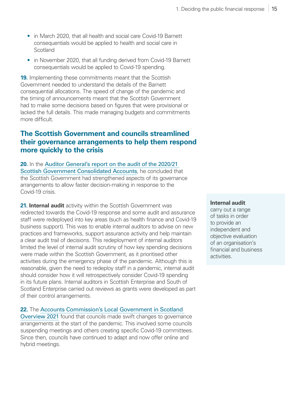- in March 2020, that all health and social care Covid-19 Barnett consequentials would be applied to health and social care in **Scotland**
- in November 2020, that all funding derived from Covid-19 Barnett consequentials would be applied to Covid-19 spending.

**19.** Implementing these commitments meant that the Scottish Government needed to understand the details of the Barnett consequential allocations. The speed of change of the pandemic and the timing of announcements meant that the Scottish Government had to make some decisions based on figures that were provisional or lacked the full details. This made managing budgets and commitments more difficult.

#### **The Scottish Government and councils streamlined their governance arrangements to help them respond more quickly to the crisis**

**20.** In the [Auditor General's report on the audit of the 2020/21](https://www.audit-scotland.gov.uk/publications/the-202021-audit-of-the-scottish-government-consolidated-accounts)  [Scottish Government Consolidated Accounts](https://www.audit-scotland.gov.uk/publications/the-202021-audit-of-the-scottish-government-consolidated-accounts), he concluded that the Scottish Government had strengthened aspects of its governance arrangements to allow faster decision-making in response to the Covid‑19 crisis.

**21. Internal audit** activity within the Scottish Government was redirected towards the Covid-19 response and some audit and assurance staff were redeployed into key areas (such as health finance and Covid-19 business support). This was to enable internal auditors to advise on new practices and frameworks, support assurance activity and help maintain a clear audit trail of decisions. This redeployment of internal auditors limited the level of internal audit scrutiny of how key spending decisions were made within the Scottish Government, as it prioritised other activities during the emergency phase of the pandemic. Although this is reasonable, given the need to redeploy staff in a pandemic, internal audit should consider how it will retrospectively consider Covid-19 spending in its future plans. Internal auditors in Scottish Enterprise and South of Scotland Enterprise carried out reviews as grants were developed as part of their control arrangements.

#### **22.** The [Accounts Commission's Local Government in Scotland](https://www.audit-scotland.gov.uk/publications/local-government-in-scotland-overview-2021)

[Overview 2021](https://www.audit-scotland.gov.uk/publications/local-government-in-scotland-overview-2021) found that councils made swift changes to governance arrangements at the start of the pandemic. This involved some councils suspending meetings and others creating specific Covid-19 committees. Since then, councils have continued to adapt and now offer online and hybrid meetings.

#### **Internal audit**

carry out a range of tasks in order to provide an independent and objective evaluation of an organisation's financial and business activities.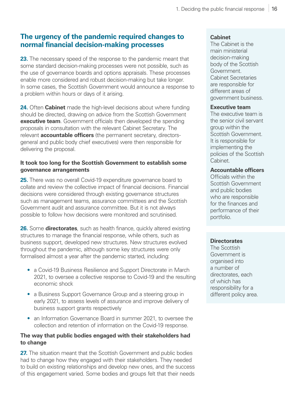#### **The urgency of the pandemic required changes to normal financial decision-making processes**

**23.** The necessary speed of the response to the pandemic meant that some standard decision-making processes were not possible, such as the use of governance boards and options appraisals. These processes enable more considered and robust decision-making but take longer. In some cases, the Scottish Government would announce a response to a problem within hours or days of it arising.

**24.** Often **Cabinet** made the high-level decisions about where funding should be directed, drawing on advice from the Scottish Government **executive team**. Government officials then developed the spending proposals in consultation with the relevant Cabinet Secretary. The relevant **accountable officers** (the permanent secretary, directorsgeneral and public body chief executives) were then responsible for delivering the proposal.

#### **It took too long for the Scottish Government to establish some governance arrangements**

**25.** There was no overall Covid-19 expenditure governance board to collate and review the collective impact of financial decisions. Financial decisions were considered through existing governance structures such as management teams, assurance committees and the Scottish Government audit and assurance committee. But it is not always possible to follow how decisions were monitored and scrutinised.

**26.** Some **directorates**, such as health finance, quickly altered existing structures to manage the financial response, while others, such as business support, developed new structures. New structures evolved throughout the pandemic, although some key structures were only formalised almost a year after the pandemic started, including:

- a Covid-19 Business Resilience and Support Directorate in March 2021, to oversee a collective response to Covid‑19 and the resulting economic shock
- a Business Support Governance Group and a steering group in early 2021, to assess levels of assurance and improve delivery of business support grants respectively
- an Information Governance Board in summer 2021, to oversee the collection and retention of information on the Covid-19 response.

#### **The way that public bodies engaged with their stakeholders had to change**

**27.** The situation meant that the Scottish Government and public bodies had to change how they engaged with their stakeholders. They needed to build on existing relationships and develop new ones, and the success of this engagement varied. Some bodies and groups felt that their needs

#### **Cabinet**

The Cabinet is the main ministerial decision-making body of the Scottish Government. Cabinet Secretaries are responsible for different areas of government business.

#### **Executive team**

The executive team is the senior civil servant group within the Scottish Government. It is responsible for implementing the policies of the Scottish Cabinet.

#### **Accountable officers**

Officials within the Scottish Government and public bodies who are responsible for the finances and performance of their portfolio.

#### **Directorates**

The Scottish Government is organised into a number of directorates, each of which has responsibility for a different policy area.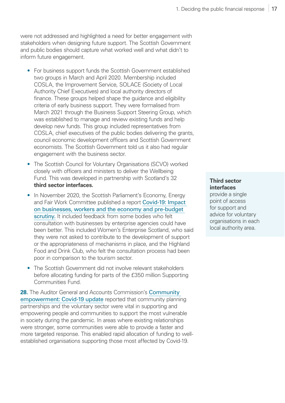were not addressed and highlighted a need for better engagement with stakeholders when designing future support. The Scottish Government and public bodies should capture what worked well and what didn't to inform future engagement.

- For business support funds the Scottish Government established two groups in March and April 2020. Membership included COSLA, the Improvement Service, SOLACE (Society of Local Authority Chief Executives) and local authority directors of finance. These groups helped shape the guidance and eligibility criteria of early business support. They were formalised from March 2021 through the Business Support Steering Group, which was established to manage and review existing funds and help develop new funds. This group included representatives from COSLA, chief executives of the public bodies delivering the grants, council economic development officers and Scottish Government economists. The Scottish Government told us it also had regular engagement with the business sector.
- The Scottish Council for Voluntary Organisations (SCVO) worked closely with officers and ministers to deliver the Wellbeing Fund. This was developed in partnership with Scotland's 32 **third sector interfaces.**
- In November 2020, the Scottish Parliament's Economy, Energy and Fair Work Committee published a report [Covid-19: Impact](https://digitalpublications.parliament.scot/Committees/Report/EEFW/2020/11/13/COVID-19--impact-on-businesses--workers-and-the-economy-and-pre-budget-scrutiny)  [on businesses, workers and the economy and pre-budget](https://digitalpublications.parliament.scot/Committees/Report/EEFW/2020/11/13/COVID-19--impact-on-businesses--workers-and-the-economy-and-pre-budget-scrutiny)  [scrutiny.](https://digitalpublications.parliament.scot/Committees/Report/EEFW/2020/11/13/COVID-19--impact-on-businesses--workers-and-the-economy-and-pre-budget-scrutiny) It included feedback from some bodies who felt consultation with businesses by enterprise agencies could have been better. This included Women's Enterprise Scotland, who said they were not asked to contribute to the development of support or the appropriateness of mechanisms in place, and the Highland Food and Drink Club, who felt the consultation process had been poor in comparison to the tourism sector.
- The Scottish Government did not involve relevant stakeholders before allocating funding for parts of the £350 million Supporting Communities Fund.

**28.** The Auditor General and Accounts Commission's **Community** empowerment: Covid-19 update reported that community planning partnerships and the voluntary sector were vital in supporting and empowering people and communities to support the most vulnerable in society during the pandemic. In areas where existing relationships were stronger, some communities were able to provide a faster and more targeted response. This enabled rapid allocation of funding to wellestablished organisations supporting those most affected by Covid-19.

#### **Third sector interfaces**

provide a single point of access for support and advice for voluntary organisations in each local authority area.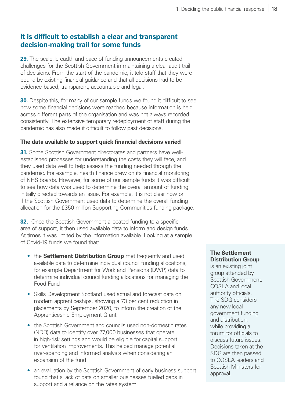#### **It is difficult to establish a clear and transparent decision-making trail for some funds**

**29.** The scale, breadth and pace of funding announcements created challenges for the Scottish Government in maintaining a clear audit trail of decisions. From the start of the pandemic, it told staff that they were bound by existing financial guidance and that all decisions had to be evidence-based, transparent, accountable and legal.

**30.** Despite this, for many of our sample funds we found it difficult to see how some financial decisions were reached because information is held across different parts of the organisation and was not always recorded consistently. The extensive temporary redeployment of staff during the pandemic has also made it difficult to follow past decisions.

#### **The data available to support quick financial decisions varied**

**31.** Some Scottish Government directorates and partners have wellestablished processes for understanding the costs they will face, and they used data well to help assess the funding needed through the pandemic. For example, health finance drew on its financial monitoring of NHS boards. However, for some of our sample funds it was difficult to see how data was used to determine the overall amount of funding initially directed towards an issue. For example, it is not clear how or if the Scottish Government used data to determine the overall funding allocation for the £350 million Supporting Communities funding package.

**32.** Once the Scottish Government allocated funding to a specific area of support, it then used available data to inform and design funds. At times it was limited by the information available. Looking at a sample of Covid‑19 funds we found that:

- the **Settlement Distribution Group** met frequently and used available data to determine individual council funding allocations, for example Department for Work and Pensions (DWP) data to determine individual council funding allocations for managing the Food Fund
- Skills Development Scotland used actual and forecast data on modern apprenticeships, showing a 73 per cent reduction in placements by September 2020, to inform the creation of the Apprenticeship Employment Grant
- the Scottish Government and councils used non-domestic rates (NDR) data to identify over 27,000 businesses that operate in high-risk settings and would be eligible for capital support for ventilation improvements. This helped manage potential over-spending and informed analysis when considering an expansion of the fund
- an evaluation by the Scottish Government of early business support found that a lack of data on smaller businesses fuelled gaps in support and a reliance on the rates system.

#### **The Settlement Distribution Group**

is an existing joint group attended by Scottish Government, COSLA and local authority officials. The SDG considers any new local government funding and distribution, while providing a forum for officials to discuss future issues. Decisions taken at the SDG are then passed to COSLA leaders and Scottish Ministers for approval.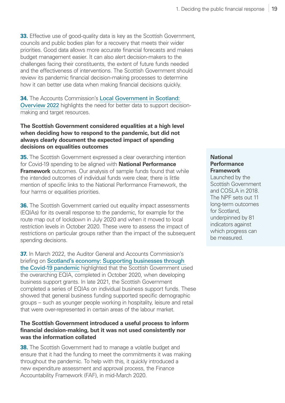**33.** Effective use of good-quality data is key as the Scottish Government, councils and public bodies plan for a recovery that meets their wider priorities. Good data allows more accurate financial forecasts and makes budget management easier. It can also alert decision-makers to the challenges facing their constituents, the extent of future funds needed and the effectiveness of interventions. The Scottish Government should review its pandemic financial decision-making processes to determine how it can better use data when making financial decisions quickly.

**34.** The Accounts Commission's [Local Government in Scotland:](https://www.audit-scotland.gov.uk/publications/local-government-in-scotland-overview-2022)  [Overview 2022](https://www.audit-scotland.gov.uk/publications/local-government-in-scotland-overview-2022) highlights the need for better data to support decisionmaking and target resources.

#### **The Scottish Government considered equalities at a high level when deciding how to respond to the pandemic, but did not always clearly document the expected impact of spending decisions on equalities outcomes**

**35.** The Scottish Government expressed a clear overarching intention for Covid‑19 spending to be aligned with **National Performance Framework** outcomes. Our analysis of sample funds found that while the intended outcomes of individual funds were clear, there is little mention of specific links to the National Performance Framework, the four harms or equalities priorities.

**36.** The Scottish Government carried out equality impact assessments (EQIAs) for its overall response to the pandemic, for example for the route map out of lockdown in July 2020 and when it moved to local restriction levels in October 2020. These were to assess the impact of restrictions on particular groups rather than the impact of the subsequent spending decisions.

**37.** In March 2022, the Auditor General and Accounts Commission's briefing on [Scotland's economy: Supporting businesses through](https://www.audit-scotland.gov.uk/publications/scotlands-economy-supporting-businesses-through-the-covid-19-pandemic)  the Covid-19 pandemic highlighted that the Scottish Government used the overarching EQIA, completed in October 2020, when developing business support grants. In late 2021, the Scottish Government completed a series of EQIAs on individual business support funds. These showed that general business funding supported specific demographic groups – such as younger people working in hospitality, leisure and retail that were over-represented in certain areas of the labour market.

#### **The Scottish Government introduced a useful process to inform financial decision-making, but it was not used consistently nor was the information collated**

<span id="page-18-0"></span>**38.** The Scottish Government had to manage a volatile budget and ensure that it had the funding to meet the commitments it was making throughout the pandemic. To help with this, it quickly introduced a new expenditure assessment and approval process, the Finance Accountability Framework (FAF), in mid-March 2020.

#### **National Performance Framework**

Launched by the Scottish Government and COSLA in 2018. The NPF sets out 11 long-term outcomes for Scotland, underpinned by 81 indicators against which progress can be measured.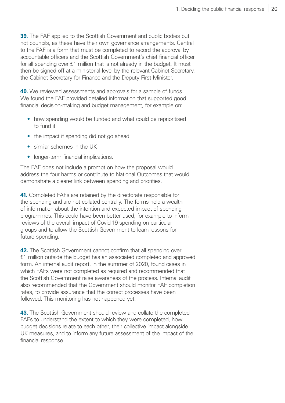**39.** The FAF applied to the Scottish Government and public bodies but not councils, as these have their own governance arrangements. Central to the FAF is a form that must be completed to record the approval by accountable officers and the Scottish Government's chief financial officer for all spending over £1 million that is not already in the budget. It must then be signed off at a ministerial level by the relevant Cabinet Secretary, the Cabinet Secretary for Finance and the Deputy First Minister.

**40.** We reviewed assessments and approvals for a sample of funds. We found the FAF provided detailed information that supported good financial decision-making and budget management, for example on:

- how spending would be funded and what could be reprioritised to fund it
- the impact if spending did not go ahead
- similar schemes in the UK
- longer-term financial implications.

The FAF does not include a prompt on how the proposal would address the four harms or contribute to National Outcomes that would demonstrate a clearer link between spending and priorities.

**41.** Completed FAFs are retained by the directorate responsible for the spending and are not collated centrally. The forms hold a wealth of information about the intention and expected impact of spending programmes. This could have been better used, for example to inform reviews of the overall impact of Covid-19 spending on particular groups and to allow the Scottish Government to learn lessons for future spending.

**42.** The Scottish Government cannot confirm that all spending over £1 million outside the budget has an associated completed and approved form. An internal audit report, in the summer of 2020, found cases in which FAFs were not completed as required and recommended that the Scottish Government raise awareness of the process. Internal audit also recommended that the Government should monitor FAF completion rates, to provide assurance that the correct processes have been followed. This monitoring has not happened yet.

<span id="page-19-0"></span>**43.** The Scottish Government should review and collate the completed FAFs to understand the extent to which they were completed, how budget decisions relate to each other, their collective impact alongside UK measures, and to inform any future assessment of the impact of the financial response.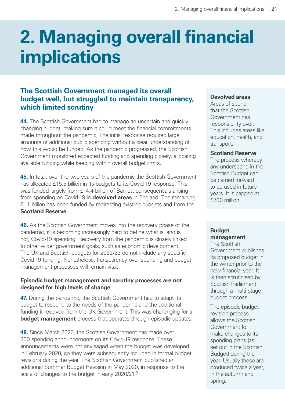## <span id="page-20-0"></span>**2. Managing overall financial implications**

#### **The Scottish Government managed its overall budget well, but struggled to maintain transparency, which limited scrutiny**

**44.** The Scottish Government had to manage an uncertain and quickly changing budget, making sure it could meet the financial commitments made throughout the pandemic. The initial response required large amounts of additional public spending without a clear understanding of how this would be funded. As the pandemic progressed, the Scottish Government monitored expected funding and spending closely, allocating available funding while keeping within overall budget limits.

**45.** In total, over the two years of the pandemic the Scottish Government has allocated £15.5 billion in its budgets to its Covid-19 response. This was funded largely from £14.4 billion of Barnett consequentials arising from spending on Covid‑19 in **devolved areas** in England. The remaining £1.1 billion has been funded by redirecting existing budgets and from the **Scotland Reserve**.

**46.** As the Scottish Government moves into the recovery phase of the pandemic, it is becoming increasingly hard to define what is, and is not, Covid‑19 spending. Recovery from the pandemic is closely linked to other wider government goals, such as economic development. The UK and Scottish budgets for 2022/23 do not include any specific Covid‑19 funding. Nonetheless, transparency over spending and budget management processes will remain vital.

#### **Episodic budget management and scrutiny processes are not designed for high levels of change**

**47.** During the pandemic, the Scottish Government had to adapt its budget to respond to the needs of the pandemic and the additional funding it received from the UK Government. This was challenging for a **budget management** process that operates through episodic updates.

**48.** Since March 2020, the Scottish Government has made over 300 spending announcements on its Covid‑19 response. These announcements were not envisaged when the budget was developed in February 2020, so they were subsequently included in formal budget revisions during the year. The Scottish Government published an additional Summer Budget Revision in May 2020, in response to the scale of changes to the budget in early  $2020/21<sup>4</sup>$  $2020/21<sup>4</sup>$  $2020/21<sup>4</sup>$ 

#### **Devolved areas**

Areas of spend that the Scottish Government has responsibility over. This includes areas like education, health, and transport.

#### **Scotland Reserve**

The process whereby any underspend in the Scottish Budget can be carried forward to be used in future years. It is capped at £700 million.

#### **Budget management**

The Scottish Government publishes its proposed budget in the winter prior to the new financial year. It is then scrutinised by Scottish Parliament through a multi-stage budget process.

The episodic budget revision process allows the Scottish Government to make changes to its spending plans (as set out in the Scottish Budget) during the year. Usually these are produced twice a year, in the autumn and spring.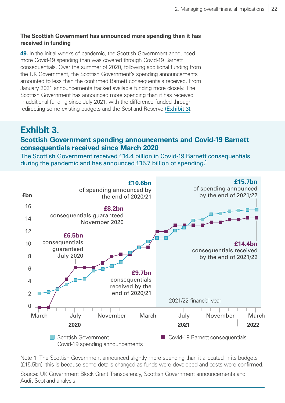#### **The Scottish Government has announced more spending than it has received in funding**

**49.** In the initial weeks of pandemic, the Scottish Government announced more Covid-19 spending than was covered through Covid-19 Barnett consequentials. Over the summer of 2020, following additional funding from the UK Government, the Scottish Government's spending announcements amounted to less than the confirmed Barnett consequentials received. From January 2021 announcements tracked available funding more closely. The Scottish Government has announced more spending than it has received in additional funding since July 2021, with the difference funded through redirecting some existing budgets and the Scotland Reserve [\(Exhibit 3\)](#page-21-0).

#### <span id="page-21-0"></span>**Exhibit 3. Scottish Government spending announcements and Covid‑19 Barnett consequentials received since March 2020**

The Scottish Government received £14.4 billion in Covid-19 Barnett consequentials during the pandemic and has announced £15.7 billion of spending.<sup>1</sup>



Note 1. The Scottish Government announced slightly more spending than it allocated in its budgets (£15.5bn), this is because some details changed as funds were developed and costs were confirmed.

Source: UK Government Block Grant Transparency, Scottish Government announcements and Audit Scotland analysis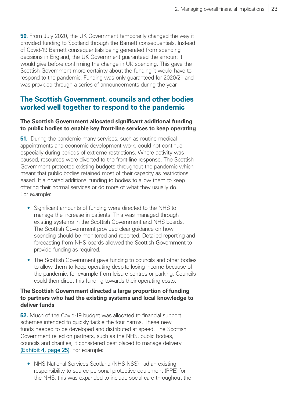**50.** From July 2020, the UK Government temporarily changed the way it provided funding to Scotland through the Barnett consequentials. Instead of Covid‑19 Barnett consequentials being generated from spending decisions in England, the UK Government guaranteed the amount it would give before confirming the change in UK spending. This gave the Scottish Government more certainty about the funding it would have to respond to the pandemic. Funding was only guaranteed for 2020/21 and was provided through a series of announcements during the year.

#### **The Scottish Government, councils and other bodies worked well together to respond to the pandemic**

#### **The Scottish Government allocated significant additional funding to public bodies to enable key front-line services to keep operating**

**51.** During the pandemic many services, such as routine medical appointments and economic development work, could not continue, especially during periods of extreme restrictions. Where activity was paused, resources were diverted to the front-line response. The Scottish Government protected existing budgets throughout the pandemic which meant that public bodies retained most of their capacity as restrictions eased. It allocated additional funding to bodies to allow them to keep offering their normal services or do more of what they usually do. For example:

- Significant amounts of funding were directed to the NHS to manage the increase in patients. This was managed through existing systems in the Scottish Government and NHS boards. The Scottish Government provided clear guidance on how spending should be monitored and reported. Detailed reporting and forecasting from NHS boards allowed the Scottish Government to provide funding as required.
- The Scottish Government gave funding to councils and other bodies to allow them to keep operating despite losing income because of the pandemic, for example from leisure centres or parking. Councils could then direct this funding towards their operating costs.

#### **The Scottish Government directed a large proportion of funding to partners who had the existing systems and local knowledge to deliver funds**

**52.** Much of the Covid-19 budget was allocated to financial support schemes intended to quickly tackle the four harms. These new funds needed to be developed and distributed at speed. The Scottish Government relied on partners, such as the NHS, public bodies, councils and charities, it considered best placed to manage delivery [\(Exhibit 4, page 25\)](#page-24-0). For example:

• NHS National Services Scotland (NHS NSS) had an existing responsibility to source personal protective equipment (PPE) for the NHS; this was expanded to include social care throughout the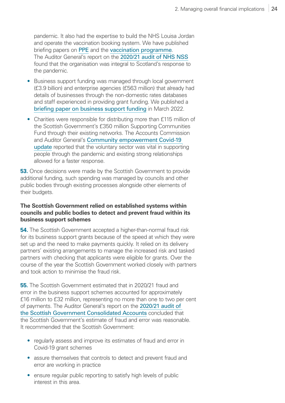pandemic. It also had the expertise to build the NHS Louisa Jordan and operate the vaccination booking system. We have published briefing papers on [PPE](https://www.audit-scotland.gov.uk/publications/covid-19-personal-protective-equipment) and the [vaccination programme](https://www.audit-scotland.gov.uk/publications/covid-19-vaccination-programme). The Auditor General's report on the [2020/21 audit of NHS NSS](https://www.audit-scotland.gov.uk/uploads/docs/report/2021/aar_2021_nhs_national_services_0.pdf) found that the organisation was integral to Scotland's response to the pandemic.

- Business support funding was managed through local government (£3.9 billion) and enterprise agencies (£563 million) that already had details of businesses through the non-domestic rates databases and staff experienced in providing grant funding. We published a [briefing paper on business support funding](https://www.audit-scotland.gov.uk/publications/scotlands-economy-supporting-businesses-through-the-covid-19-pandemic) in March 2022.
- Charities were responsible for distributing more than £115 million of the Scottish Government's £350 million Supporting Communities Fund through their existing networks. The Accounts Commission and Auditor General's Community empowerment Covid-19 [update](https://www.audit-scotland.gov.uk/publications/community-empowerment-covid-19-update) reported that the voluntary sector was vital in supporting people through the pandemic and existing strong relationships allowed for a faster response.

**53.** Once decisions were made by the Scottish Government to provide additional funding, such spending was managed by councils and other public bodies through existing processes alongside other elements of their budgets.

#### **The Scottish Government relied on established systems within councils and public bodies to detect and prevent fraud within its business support schemes**

**54.** The Scottish Government accepted a higher-than-normal fraud risk for its business support grants because of the speed at which they were set up and the need to make payments quickly. It relied on its delivery partners' existing arrangements to manage the increased risk and tasked partners with checking that applicants were eligible for grants. Over the course of the year the Scottish Government worked closely with partners and took action to minimise the fraud risk.

**55.** The Scottish Government estimated that in 2020/21 fraud and error in the business support schemes accounted for approximately £16 million to £32 million, representing no more than one to two per cent of payments. The Auditor General's report on the [2020/21 audit of](https://www.audit-scotland.gov.uk/publications/the-202021-audit-of-the-scottish-government-consolidated-accounts)  [the Scottish Government Consolidated Accounts](https://www.audit-scotland.gov.uk/publications/the-202021-audit-of-the-scottish-government-consolidated-accounts) concluded that the Scottish Government's estimate of fraud and error was reasonable. It recommended that the Scottish Government:

- regularly assess and improve its estimates of fraud and error in Covid‑19 grant schemes
- assure themselves that controls to detect and prevent fraud and error are working in practice
- ensure regular public reporting to satisfy high levels of public interest in this area.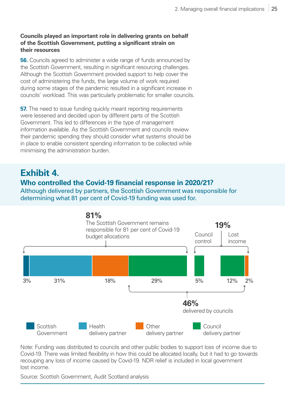#### **Councils played an important role in delivering grants on behalf of the Scottish Government, putting a significant strain on their resources**

**56.** Councils agreed to administer a wide range of funds announced by the Scottish Government, resulting in significant resourcing challenges. Although the Scottish Government provided support to help cover the cost of administering the funds, the large volume of work required during some stages of the pandemic resulted in a significant increase in councils' workload. This was particularly problematic for smaller councils.

**57.** The need to issue funding quickly meant reporting requirements were lessened and decided upon by different parts of the Scottish Government. This led to differences in the type of management information available. As the Scottish Government and councils review their pandemic spending they should consider what systems should be in place to enable consistent spending information to be collected while minimising the administration burden.

### <span id="page-24-0"></span>**Exhibit 4.**

#### **Who controlled the Covid‑19 financial response in 2020/21?**

Although delivered by partners, the Scottish Government was responsible for determining what 81 per cent of Covid-19 funding was used for.



Note: Funding was distributed to councils and other public bodies to support loss of income due to Covid‑19. There was limited flexibility in how this could be allocated locally, but it had to go towards recouping any loss of income caused by Covid-19. NDR relief is included in local government lost income.

Source: Scottish Government, Audit Scotland analysis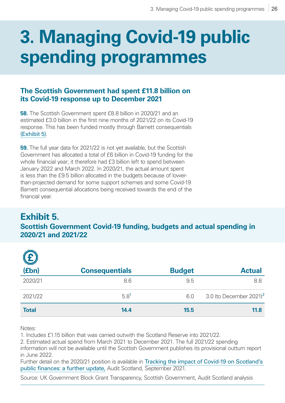## <span id="page-25-0"></span>**3. Managing Covid‑19 public spending programmes**

#### **The Scottish Government had spent £11.8 billion on its Covid‑19 response up to December 2021**

**58.** The Scottish Government spent £8.8 billion in 2020/21 and an estimated £3.0 billion in the first nine months of 2021/22 on its Covid-19 response. This has been funded mostly through Barnett consequentials [\(Exhibit 5\)](#page-25-1).

**59.** The full year data for 2021/22 is not yet available, but the Scottish Government has allocated a total of £6 billion in Covid‑19 funding for the whole financial year; it therefore had £3 billion left to spend between January 2022 and March 2022. In 2020/21, the actual amount spent is less than the £9.5 billion allocated in the budgets because of lowerthan-projected demand for some support schemes and some Covid-19 Barnett consequential allocations being received towards the end of the financial year.

### <span id="page-25-1"></span>**Exhibit 5.**

#### **Scottish Government Covid‑19 funding, budgets and actual spending in 2020/21 and 2021/22**

| E            | <b>Consequentials</b> | <b>Budget</b> | <b>Actual</b>                          |
|--------------|-----------------------|---------------|----------------------------------------|
| 2020/21      | 8.6                   | 9.5           | 8.8                                    |
| 2021/22      | 5.8 <sup>1</sup>      | 6.0           | 3.0 (to December $2021$ ) <sup>2</sup> |
| <b>Total</b> | 14.4                  | 15.5          | 11.8                                   |

Notes:

1. Includes £1.15 billion that was carried outwith the Scotland Reserve into 2021/22.

2. Estimated actual spend from March 2021 to December 2021. The full 2021/22 spending

information will not be available until the Scottish Government publishes its provisional outturn report in June 2022.

Further detail on the 2020/21 position is available in Tracking the impact of Covid-19 on Scotland's [public finances: a further update,](https://www.audit-scotland.gov.uk/publications/covid-19-tracking-the-impact-of-covid-19-on-scotland%E2%80%99s-public-finances) Audit Scotland, September 2021.

Source: UK Government Block Grant Transparency, Scottish Government, Audit Scotland analysis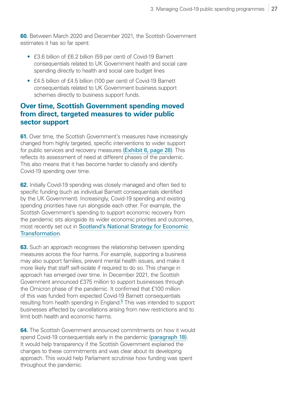<span id="page-26-0"></span>**60.** Between March 2020 and December 2021, the Scottish Government estimates it has so far spent:

- £3.6 billion of £6.2 billion (59 per cent) of Covid-19 Barnett consequentials related to UK Government health and social care spending directly to health and social care budget lines
- £4.5 billion of £4.5 billion (100 per cent) of Covid-19 Barnett consequentials related to UK Government business support schemes directly to business support funds.

#### **Over time, Scottish Government spending moved from direct, targeted measures to wider public sector support**

**61.** Over time, the Scottish Government's measures have increasingly changed from highly targeted, specific interventions to wider support for public services and recovery measures [\(Exhibit 6, page 28\)](#page-27-0). This reflects its assessment of need at different phases of the pandemic. This also means that it has become harder to classify and identify Covid‑19 spending over time.

**62.** Initially Covid-19 spending was closely managed and often tied to specific funding (such as individual Barnett consequentials identified by the UK Government). Increasingly, Covid‑19 spending and existing spending priorities have run alongside each other. For example, the Scottish Government's spending to support economic recovery from the pandemic sits alongside its wider economic priorities and outcomes, most recently set out in [Scotland's National Strategy for Economic](https://www.gov.scot/publications/scotlands-national-strategy-economic-transformation/documents/)  [Transformation](https://www.gov.scot/publications/scotlands-national-strategy-economic-transformation/documents/).

**63.** Such an approach recognises the relationship between spending measures across the four harms. For example, supporting a business may also support families, prevent mental health issues, and make it more likely that staff self-isolate if required to do so. This change in approach has emerged over time. In December 2021, the Scottish Government announced £375 million to support businesses through the Omicron phase of the pandemic. It confirmed that £100 million of this was funded from expected Covid‑19 Barnett consequentials resulting from health spending in England.<sup>[5](#page-39-0)</sup> This was intended to support businesses affected by cancellations arising from new restrictions and to limit both health and economic harms.

**64.** The Scottish Government announced commitments on how it would spend Covid-19 consequentials early in the pandemic [\(paragraph 18\)](#page-13-0). It would help transparency if the Scottish Government explained the changes to these commitments and was clear about its developing approach. This would help Parliament scrutinise how funding was spent throughout the pandemic.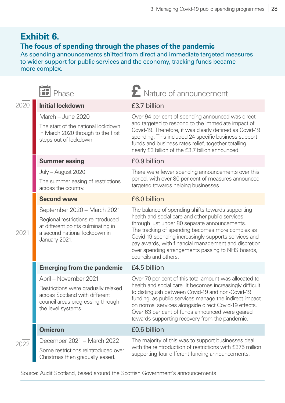### <span id="page-27-0"></span>**Exhibit 6.**

#### **The focus of spending through the phases of the pandemic**

As spending announcements shifted from direct and immediate targeted measures to wider support for public services and the economy, tracking funds became more complex.

|      | Phase                                                                                                                                                     | $\boldsymbol{\Sigma}$ Nature of announcement                                                                                                                                                                                                                                                                                                                                                            |  |  |
|------|-----------------------------------------------------------------------------------------------------------------------------------------------------------|---------------------------------------------------------------------------------------------------------------------------------------------------------------------------------------------------------------------------------------------------------------------------------------------------------------------------------------------------------------------------------------------------------|--|--|
| 2020 | <b>Initial lockdown</b>                                                                                                                                   | £3.7 billion                                                                                                                                                                                                                                                                                                                                                                                            |  |  |
| 2021 | March - June 2020<br>The start of the national lockdown<br>in March 2020 through to the first<br>steps out of lockdown.                                   | Over 94 per cent of spending announced was direct<br>and targeted to respond to the immediate impact of<br>Covid-19. Therefore, it was clearly defined as Covid-19<br>spending. This included 24 specific business support<br>funds and business rates relief, together totalling<br>nearly £3 billion of the £3.7 billion announced.                                                                   |  |  |
|      | <b>Summer easing</b>                                                                                                                                      | £0.9 billion                                                                                                                                                                                                                                                                                                                                                                                            |  |  |
|      | July - August 2020<br>The summer easing of restrictions<br>across the country.                                                                            | There were fewer spending announcements over this<br>period, with over 80 per cent of measures announced<br>targeted towards helping businesses.                                                                                                                                                                                                                                                        |  |  |
|      | <b>Second wave</b>                                                                                                                                        | £6.0 billion                                                                                                                                                                                                                                                                                                                                                                                            |  |  |
|      | September 2020 - March 2021<br>Regional restrictions reintroduced<br>at different points culminating in<br>a second national lockdown in<br>January 2021. | The balance of spending shifts towards supporting<br>health and social care and other public services<br>through just under 80 separate announcements.<br>The tracking of spending becomes more complex as<br>Covid-19 spending increasingly supports services and<br>pay awards, with financial management and discretion<br>over spending arrangements passing to NHS boards,<br>councils and others. |  |  |
|      | <b>Emerging from the pandemic</b>                                                                                                                         | £4.5 billion                                                                                                                                                                                                                                                                                                                                                                                            |  |  |
|      | April - November 2021<br>Restrictions were gradually relaxed<br>across Scotland with different<br>council areas progressing through<br>the level systems. | Over 70 per cent of this total amount was allocated to<br>health and social care. It becomes increasingly difficult<br>to distinguish between Covid-19 and non-Covid-19<br>funding, as public services manage the indirect impact<br>on normal services alongside direct Covid-19 effects.<br>Over 63 per cent of funds announced were geared<br>towards supporting recovery from the pandemic.         |  |  |
|      | <b>Omicron</b>                                                                                                                                            | £0.6 billion                                                                                                                                                                                                                                                                                                                                                                                            |  |  |
| 2022 | December 2021 - March 2022<br>Some restrictions reintroduced over<br>Christmas then gradually eased.                                                      | The majority of this was to support businesses deal<br>with the reintroduction of restrictions with £375 million<br>supporting four different funding announcements.                                                                                                                                                                                                                                    |  |  |

Source: Audit Scotland, based around the Scottish Government's announcements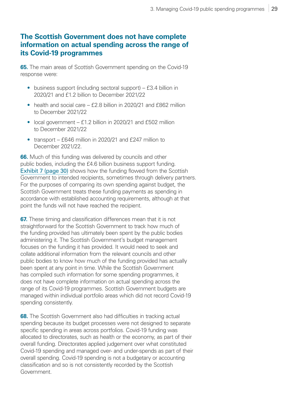#### **The Scottish Government does not have complete information on actual spending across the range of its Covid‑19 programmes**

**65.** The main areas of Scottish Government spending on the Covid-19 response were:

- business support (including sectoral support) £3.4 billion in 2020/21 and £1.2 billion to December 2021/22
- health and social care  $f$  2.8 billion in 2020/21 and  $f$ 862 million to December 2021/22
- local government  $f1.2$  billion in 2020/21 and  $f502$  million to December 2021/22
- transport £646 million in 2020/21 and £247 million to December 2021/22.

**66.** Much of this funding was delivered by councils and other public bodies, including the £4.6 billion business support funding. [Exhibit 7 \(page 30\)](#page-29-0) shows how the funding flowed from the Scottish Government to intended recipients, sometimes through delivery partners. For the purposes of comparing its own spending against budget, the Scottish Government treats these funding payments as spending in accordance with established accounting requirements, although at that point the funds will not have reached the recipient.

**67.** These timing and classification differences mean that it is not straightforward for the Scottish Government to track how much of the funding provided has ultimately been spent by the public bodies administering it. The Scottish Government's budget management focuses on the funding it has provided. It would need to seek and collate additional information from the relevant councils and other public bodies to know how much of the funding provided has actually been spent at any point in time. While the Scottish Government has compiled such information for some spending programmes, it does not have complete information on actual spending across the range of its Covid-19 programmes. Scottish Government budgets are managed within individual portfolio areas which did not record Covid-19 spending consistently.

**68.** The Scottish Government also had difficulties in tracking actual spending because its budget processes were not designed to separate specific spending in areas across portfolios. Covid-19 funding was allocated to directorates, such as health or the economy, as part of their overall funding. Directorates applied judgement over what constituted Covid‑19 spending and managed over- and under-spends as part of their overall spending. Covid‑19 spending is not a budgetary or accounting classification and so is not consistently recorded by the Scottish Government.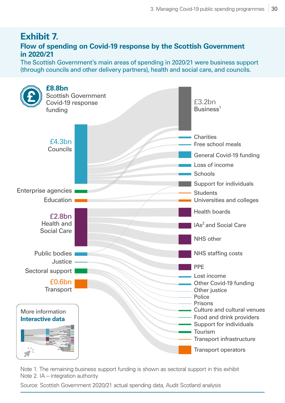#### <span id="page-29-0"></span>**Exhibit 7. Flow of spending on Covid‑19 response by the Scottish Government in 2020/21**

The Scottish Government's main areas of spending in 2020/21 were business support (through councils and other delivery partners), health and social care, and councils.



Note 1. The remaining business support funding is shown as sectoral support in this exhibit Note 2. IA – integration authority

Source: Scottish Government 2020/21 actual spending data, Audit Scotland analysis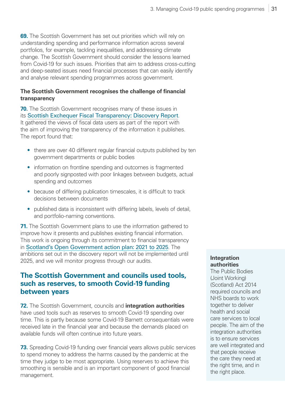**69.** The Scottish Government has set out priorities which will rely on understanding spending and performance information across several portfolios, for example, tackling inequalities, and addressing climate change. The Scottish Government should consider the lessons learned from Covid-19 for such issues. Priorities that aim to address cross-cutting and deep-seated issues need financial processes that can easily identify and analyse relevant spending programmes across government.

#### **The Scottish Government recognises the challenge of financial transparency**

**70.** The Scottish Government recognises many of these issues in its [Scottish Exchequer Fiscal Transparency: Discovery Report](https://www.gov.scot/binaries/content/documents/govscot/publications/research-and-analysis/2022/03/scottish-exchequer-fiscal-transparency-discovery-report/documents/scottish-exchequer-fiscal-transparency-discovery-report/scottish-exchequer-fiscal-transparency-discovery-report/govscot%3Adocument/scottish-exchequer-fiscal-transparency-discovery-report.pdf). It gathered the views of fiscal data users as part of the report with the aim of improving the transparency of the information it publishes. The report found that:

- there are over 40 different regular financial outputs published by ten government departments or public bodies
- information on frontline spending and outcomes is fragmented and poorly signposted with poor linkages between budgets, actual spending and outcomes
- because of differing publication timescales, it is difficult to track decisions between documents
- published data is inconsistent with differing labels, levels of detail, and portfolio-naming conventions.

**71.** The Scottish Government plans to use the information gathered to improve how it presents and publishes existing financial information. This work is ongoing through its commitment to financial transparency in [Scotland's Open Government action plan: 2021 to 2025](https://www.gov.scot/publications/scotlands-open-government-action-plan-2021-25/). The ambitions set out in the discovery report will not be implemented until 2025, and we will monitor progress through our audits.

#### **The Scottish Government and councils used tools, such as reserves, to smooth Covid‑19 funding between years**

**72.** The Scottish Government, councils and **integration authorities** have used tools such as reserves to smooth Covid-19 spending over time. This is partly because some Covid-19 Barnett consequentials were received late in the financial year and because the demands placed on available funds will often continue into future years.

**73.** Spreading Covid-19 funding over financial years allows public services to spend money to address the harms caused by the pandemic at the time they judge to be most appropriate. Using reserves to achieve this smoothing is sensible and is an important component of good financial management.

#### **Integration authorities**

The Public Bodies (Joint Working) (Scotland) Act 2014 required councils and NHS boards to work together to deliver health and social care services to local people. The aim of the integration authorities is to ensure services are well integrated and that people receive the care they need at the right time, and in the right place.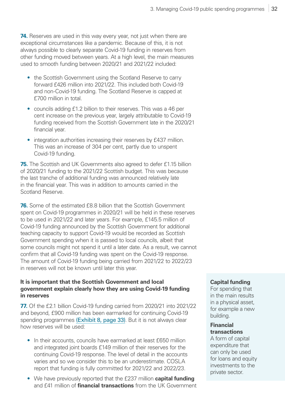**74.** Reserves are used in this way every year, not just when there are exceptional circumstances like a pandemic. Because of this, it is not always possible to clearly separate Covid-19 funding in reserves from other funding moved between years. At a high level, the main measures used to smooth funding between 2020/21 and 2021/22 included:

- the Scottish Government using the Scotland Reserve to carry forward £426 million into 2021/22. This included both Covid-19 and non-Covid‑19 funding. The Scotland Reserve is capped at £700 million in total.
- councils adding £1.2 billion to their reserves. This was a 46 per cent increase on the previous year, largely attributable to Covid-19 funding received from the Scottish Government late in the 2020/21 financial year.
- integration authorities increasing their reserves by £437 million. This was an increase of 304 per cent, partly due to unspent Covid-19 funding.

**75.** The Scottish and UK Governments also agreed to defer £1.15 billion of 2020/21 funding to the 2021/22 Scottish budget. This was because the last tranche of additional funding was announced relatively late in the financial year. This was in addition to amounts carried in the Scotland Reserve.

**76.** Some of the estimated £8.8 billion that the Scottish Government spent on Covid-19 programmes in 2020/21 will be held in these reserves to be used in 2021/22 and later years. For example, £145.5 million of Covid‑19 funding announced by the Scottish Government for additional teaching capacity to support Covid-19 would be recorded as Scottish Government spending when it is passed to local councils, albeit that some councils might not spend it until a later date. As a result, we cannot confirm that all Covid-19 funding was spent on the Covid-19 response. The amount of Covid-19 funding being carried from 2021/22 to 2022/23 in reserves will not be known until later this year.

#### **It is important that the Scottish Government and local government explain clearly how they are using Covid‑19 funding in reserves**

**77.** Of the £2.1 billion Covid-19 funding carried from 2020/21 into 2021/22 and beyond, £900 million has been earmarked for continuing Covid-19 spending programmes [\(Exhibit 8, page 33\)](#page-32-0). But it is not always clear how reserves will be used:

- In their accounts, councils have earmarked at least £650 million and integrated joint boards £149 million of their reserves for the continuing Covid-19 response. The level of detail in the accounts varies and so we consider this to be an underestimate. COSLA report that funding is fully committed for 2021/22 and 2022/23.
- We have previously reported that the £237 million **capital funding** and £41 million of **financial transactions** from the UK Government

#### **Capital funding**

For spending that in the main results in a physical asset, for example a new building.

#### **Financial transactions**

A form of capital expenditure that can only be used for loans and equity investments to the private sector.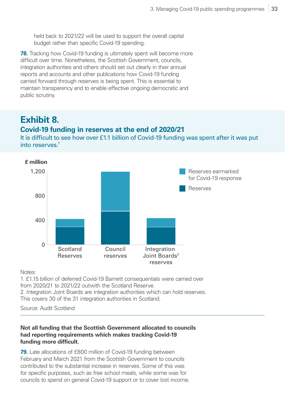held back to 2021/22 will be used to support the overall capital budget rather than specific Covid‑19 spending.

**78.** Tracking how Covid-19 funding is ultimately spent will become more difficult over time. Nonetheless, the Scottish Government, councils, integration authorities and others should set out clearly in their annual reports and accounts and other publications how Covid-19 funding carried forward through reserves is being spent. This is essential to maintain transparency and to enable effective ongoing democratic and public scrutiny.

### <span id="page-32-0"></span>**Exhibit 8.**

#### **Covid‑19 funding in reserves at the end of 2020/21**

It is difficult to see how over £1.1 billion of Covid-19 funding was spent after it was put into reserves.<sup>1</sup>



#### Notes:

1. £1.15 billion of deferred Covid‑19 Barnett consequentials were carried over from 2020/21 to 2021/22 outwith the Scotland Reserve. 2. Integration Joint Boards are integration authorities which can hold reserves. This covers 30 of the 31 integration authorities in Scotland.

Source: Audit Scotland

#### **Not all funding that the Scottish Government allocated to councils had reporting requirements which makes tracking Covid‑19 funding more difficult.**

**79.** Late allocations of £800 million of Covid-19 funding between February and March 2021 from the Scottish Government to councils contributed to the substantial increase in reserves. Some of this was for specific purposes, such as free school meals, while some was for councils to spend on general Covid‑19 support or to cover lost income.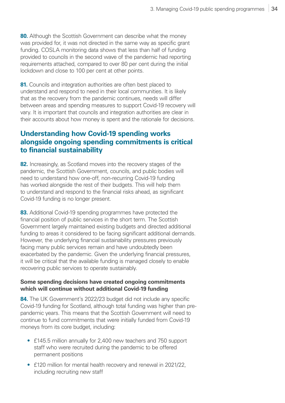**80.** Although the Scottish Government can describe what the money was provided for, it was not directed in the same way as specific grant funding. COSLA monitoring data shows that less than half of funding provided to councils in the second wave of the pandemic had reporting requirements attached, compared to over 80 per cent during the initial lockdown and close to 100 per cent at other points.

**81.** Councils and integration authorities are often best placed to understand and respond to need in their local communities. It is likely that as the recovery from the pandemic continues, needs will differ between areas and spending measures to support Covid-19 recovery will vary. It is important that councils and integration authorities are clear in their accounts about how money is spent and the rationale for decisions.

#### **Understanding how Covid‑19 spending works alongside ongoing spending commitments is critical to financial sustainability**

**82.** Increasingly, as Scotland moves into the recovery stages of the pandemic, the Scottish Government, councils, and public bodies will need to understand how one-off, non-recurring Covid-19 funding has worked alongside the rest of their budgets. This will help them to understand and respond to the financial risks ahead, as significant Covid‑19 funding is no longer present.

**83.** Additional Covid-19 spending programmes have protected the financial position of public services in the short term. The Scottish Government largely maintained existing budgets and directed additional funding to areas it considered to be facing significant additional demands. However, the underlying financial sustainability pressures previously facing many public services remain and have undoubtedly been exacerbated by the pandemic. Given the underlying financial pressures, it will be critical that the available funding is managed closely to enable recovering public services to operate sustainably.

#### **Some spending decisions have created ongoing commitments which will continue without additional Covid‑19 funding**

**84.** The UK Government's 2022/23 budget did not include any specific Covid‑19 funding for Scotland, although total funding was higher than prepandemic years. This means that the Scottish Government will need to continue to fund commitments that were initially funded from Covid-19 moneys from its core budget, including:

- £145.5 million annually for 2,400 new teachers and 750 support staff who were recruited during the pandemic to be offered permanent positions
- £120 million for mental health recovery and renewal in 2021/22, including recruiting new staff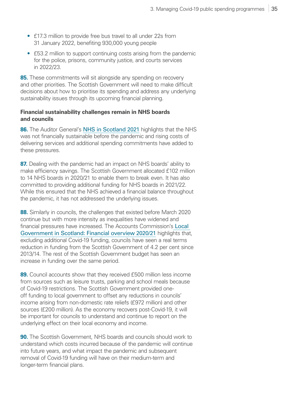- £17.3 million to provide free bus travel to all under 22s from 31 January 2022, benefiting 930,000 young people
- £53.2 million to support continuing costs arising from the pandemic for the police, prisons, community justice, and courts services in 2022/23.

**85.** These commitments will sit alongside any spending on recovery and other priorities. The Scottish Government will need to make difficult decisions about how to prioritise its spending and address any underlying sustainability issues through its upcoming financial planning.

#### **Financial sustainability challenges remain in NHS boards and councils**

**86.** The Auditor General's [NHS in Scotland 2021](https://www.audit-scotland.gov.uk/publications/nhs-in-scotland-2021) highlights that the NHS was not financially sustainable before the pandemic and rising costs of delivering services and additional spending commitments have added to these pressures.

**87.** Dealing with the pandemic had an impact on NHS boards' ability to make efficiency savings. The Scottish Government allocated £102 million to 14 NHS boards in 2020/21 to enable them to break even. It has also committed to providing additional funding for NHS boards in 2021/22. While this ensured that the NHS achieved a financial balance throughout the pandemic, it has not addressed the underlying issues.

**88.** Similarly in councils, the challenges that existed before March 2020 continue but with more intensity as inequalities have widened and financial pressures have increased. The Accounts Commission's [Local](https://www.audit-scotland.gov.uk/publications/local-government-in-scotland-financial-overview-202021)  [Government in Scotland: Financial overview 2020/21](https://www.audit-scotland.gov.uk/publications/local-government-in-scotland-financial-overview-202021) highlights that, excluding additional Covid-19 funding, councils have seen a real terms reduction in funding from the Scottish Government of 4.2 per cent since 2013/14. The rest of the Scottish Government budget has seen an increase in funding over the same period.

**89.** Council accounts show that they received £500 million less income from sources such as leisure trusts, parking and school meals because of Covid‑19 restrictions. The Scottish Government provided oneoff funding to local government to offset any reductions in councils' income arising from non-domestic rate reliefs (£972 million) and other sources (£200 million). As the economy recovers post-Covid-19, it will be important for councils to understand and continue to report on the underlying effect on their local economy and income.

**90.** The Scottish Government, NHS boards and councils should work to understand which costs incurred because of the pandemic will continue into future years, and what impact the pandemic and subsequent removal of Covid-19 funding will have on their medium-term and longer-term financial plans.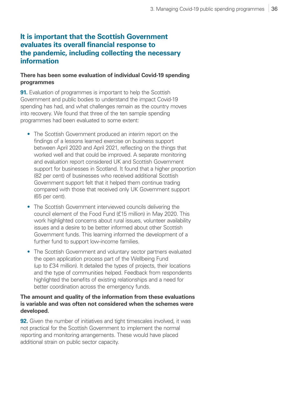#### **It is important that the Scottish Government evaluates its overall financial response to the pandemic, including collecting the necessary information**

#### **There has been some evaluation of individual Covid‑19 spending programmes**

**91.** Evaluation of programmes is important to help the Scottish Government and public bodies to understand the impact Covid-19 spending has had, and what challenges remain as the country moves into recovery. We found that three of the ten sample spending programmes had been evaluated to some extent:

- The Scottish Government produced an interim report on the findings of a lessons learned exercise on business support between April 2020 and April 2021, reflecting on the things that worked well and that could be improved. A separate monitoring and evaluation report considered UK and Scottish Government support for businesses in Scotland. It found that a higher proportion (82 per cent) of businesses who received additional Scottish Government support felt that it helped them continue trading compared with those that received only UK Government support (65 per cent).
- The Scottish Government interviewed councils delivering the council element of the Food Fund (£15 million) in May 2020. This work highlighted concerns about rural issues, volunteer availability issues and a desire to be better informed about other Scottish Government funds. This learning informed the development of a further fund to support low-income families.
- The Scottish Government and voluntary sector partners evaluated the open application process part of the Wellbeing Fund (up to £34 million). It detailed the types of projects, their locations and the type of communities helped. Feedback from respondents highlighted the benefits of existing relationships and a need for better coordination across the emergency funds.

#### **The amount and quality of the information from these evaluations is variable and was often not considered when the schemes were developed.**

**92.** Given the number of initiatives and tight timescales involved, it was not practical for the Scottish Government to implement the normal reporting and monitoring arrangements. These would have placed additional strain on public sector capacity.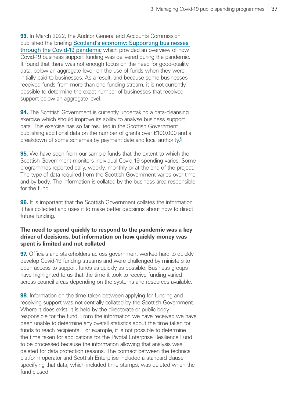<span id="page-36-0"></span>**93.** In March 2022, the Auditor General and Accounts Commission published the briefing [Scotland's economy: Supporting businesses](https://www.audit-scotland.gov.uk/publications/scotlands-economy-supporting-businesses-through-the-covid-19-pandemic)  through the Covid-19 pandemic which provided an overview of how Covid‑19 business support funding was delivered during the pandemic. It found that there was not enough focus on the need for good-quality data, below an aggregate level, on the use of funds when they were initially paid to businesses. As a result, and because some businesses received funds from more than one funding stream, it is not currently possible to determine the exact number of businesses that received support below an aggregate level.

**94.** The Scottish Government is currently undertaking a data-cleansing exercise which should improve its ability to analyse business support data. This exercise has so far resulted in the Scottish Government publishing additional data on the number of grants over £100,000 and a breakdown of some schemes by payment date and local authority.<sup>[6](#page-39-0)</sup>

**95.** We have seen from our sample funds that the extent to which the Scottish Government monitors individual Covid‑19 spending varies. Some programmes reported daily, weekly, monthly or at the end of the project. The type of data required from the Scottish Government varies over time and by body. The information is collated by the business area responsible for the fund.

**96.** It is important that the Scottish Government collates the information it has collected and uses it to make better decisions about how to direct future funding.

#### **The need to spend quickly to respond to the pandemic was a key driver of decisions, but information on how quickly money was spent is limited and not collated**

**97.** Officials and stakeholders across government worked hard to quickly develop Covid-19 funding streams and were challenged by ministers to open access to support funds as quickly as possible. Business groups have highlighted to us that the time it took to receive funding varied across council areas depending on the systems and resources available.

**98.** Information on the time taken between applying for funding and receiving support was not centrally collated by the Scottish Government. Where it does exist, it is held by the directorate or public body responsible for the fund. From the information we have received we have been unable to determine any overall statistics about the time taken for funds to reach recipients. For example, it is not possible to determine the time taken for applications for the Pivotal Enterprise Resilience Fund to be processed because the information allowing that analysis was deleted for data protection reasons. The contract between the technical platform operator and Scottish Enterprise included a standard clause specifying that data, which included time stamps, was deleted when the fund closed.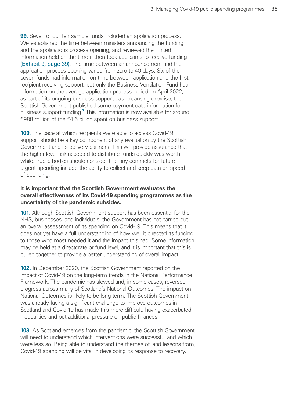<span id="page-37-0"></span>**99.** Seven of our ten sample funds included an application process. We established the time between ministers announcing the funding and the applications process opening, and reviewed the limited information held on the time it then took applicants to receive funding [\(Exhibit 9, page 39\)](#page-38-0). The time between an announcement and the application process opening varied from zero to 49 days. Six of the seven funds had information on time between application and the first recipient receiving support, but only the Business Ventilation Fund had information on the average application process period. In April 2022, as part of its ongoing business support data-cleansing exercise, the Scottish Government published some payment date information for business support funding.<sup>[7](#page-39-0)</sup> This information is now available for around £988 million of the £4.6 billion spent on business support.

**100.** The pace at which recipients were able to access Covid-19 support should be a key component of any evaluation by the Scottish Government and its delivery partners. This will provide assurance that the higher-level risk accepted to distribute funds quickly was worth while. Public bodies should consider that any contracts for future urgent spending include the ability to collect and keep data on speed of spending.

#### **It is important that the Scottish Government evaluates the overall effectiveness of its Covid‑19 spending programmes as the uncertainty of the pandemic subsides.**

**101.** Although Scottish Government support has been essential for the NHS, businesses, and individuals, the Government has not carried out an overall assessment of its spending on Covid‑19. This means that it does not yet have a full understanding of how well it directed its funding to those who most needed it and the impact this had. Some information may be held at a directorate or fund level, and it is important that this is pulled together to provide a better understanding of overall impact.

**102.** In December 2020, the Scottish Government reported on the impact of Covid-19 on the long-term trends in the National Performance Framework. The pandemic has slowed and, in some cases, reversed progress across many of Scotland's National Outcomes. The impact on National Outcomes is likely to be long term. The Scottish Government was already facing a significant challenge to improve outcomes in Scotland and Covid-19 has made this more difficult, having exacerbated inequalities and put additional pressure on public finances.

**103.** As Scotland emerges from the pandemic, the Scottish Government will need to understand which interventions were successful and which were less so. Being able to understand the themes of, and lessons from, Covid‑19 spending will be vital in developing its response to recovery.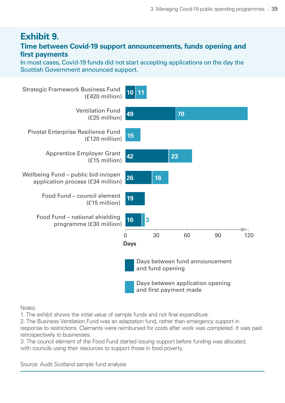### <span id="page-38-0"></span>**Exhibit 9.**

#### **Time between Covid‑19 support announcements, funds opening and first payments**

In most cases, Covid-19 funds did not start accepting applications on the day the Scottish Government announced support.



Notes:

1. The exhibit shows the initial value of sample funds and not final expenditure.

2. The Business Ventilation Fund was an adaptation fund, rather than emergency support in response to restrictions. Claimants were reimbursed for costs after work was completed. It was paid retrospectively to businesses.

3. The council element of the Food Fund started issuing support before funding was allocated, with councils using their resources to support those in food poverty.

Source: Audit Scotland sample fund analysis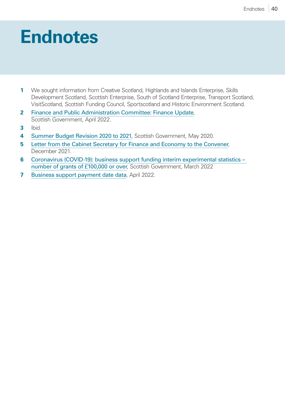## <span id="page-39-0"></span>**1. Endnotes**

- **[1](#page-8-0)** We sought information from Creative Scotland, Highlands and Islands Enterprise, Skills Development Scotland, Scottish Enterprise, South of Scotland Enterprise, Transport Scotland, VisitScotland, Scottish Funding Council, Sportscotland and Historic Environment Scotland.
- **[2](#page-8-0)** [Finance and Public Administration Committee: Finance Update](https://www.gov.scot/publications/finance-update-finance-public-administration-committee/pages/1/), [Scottish Government, April 2022.](https://www.gov.scot/publications/finance-update-finance-public-administration-committee/pages/1/)
- **[3](#page-9-0)** Ibid.
- **[4](#page-20-0)** [Summer Budget Revision 2020 to 2021](https://www.gov.scot/publications/2020-21-summer-budget-revision/), Scottish Government, May 2020.
- **[5](#page-26-0)** [Letter from the Cabinet Secretary for Finance and Economy to the Convener](https://www.parliament.scot/chamber-and-committees/committees/current-and-previous-committees/session-6-finance-and-public-administration-committee/correspondence/2021/covid-19-financial-support-scottish-government-update), December 2021.
- **[6](#page-36-0)** [Coronavirus \(COVID-19\): business support funding interim experimental statistics](https://www.gov.scot/publications/coronavirus-covid-19-business-support-funding-interim-experimental-statistics-number-of-grants-of-gbp100000-or-over/)  [number of grants of £100,000 or over](https://www.gov.scot/publications/coronavirus-covid-19-business-support-funding-interim-experimental-statistics-number-of-grants-of-gbp100000-or-over/), Scottish Government, March 2022
- **[7](#page-37-0)** [Business support payment date data](https://www.gov.scot/publications/coronavirus-covid-19-business-support-funding-experimental-statistics-payment-dates-august2020/), April 2022.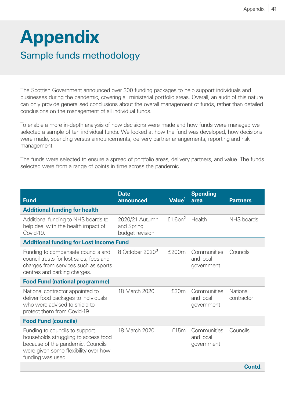## <span id="page-40-1"></span><span id="page-40-0"></span>**Appendix** Sample funds methodology

The Scottish Government announced over 300 funding packages to help support individuals and businesses during the pandemic, covering all ministerial portfolio areas. Overall, an audit of this nature can only provide generalised conclusions about the overall management of funds, rather than detailed conclusions on the management of all individual funds.

To enable a more in-depth analysis of how decisions were made and how funds were managed we selected a sample of ten individual funds. We looked at how the fund was developed, how decisions were made, spending versus announcements, delivery partner arrangements, reporting and risk management.

The funds were selected to ensure a spread of portfolio areas, delivery partners, and value. The funds selected were from a range of points in time across the pandemic.

| <b>Fund</b>                                                                                                                                                              | <b>Date</b><br>announced                        | Value <sup>1</sup>     | <b>Spending</b><br>area                | <b>Partners</b>        |  |
|--------------------------------------------------------------------------------------------------------------------------------------------------------------------------|-------------------------------------------------|------------------------|----------------------------------------|------------------------|--|
| <b>Additional funding for health</b>                                                                                                                                     |                                                 |                        |                                        |                        |  |
| Additional funding to NHS boards to<br>help deal with the health impact of<br>Covid-19.                                                                                  | 2020/21 Autumn<br>and Spring<br>budget revision | $f1.6$ bn <sup>2</sup> | Health                                 | NHS boards             |  |
| <b>Additional funding for Lost Income Fund</b>                                                                                                                           |                                                 |                        |                                        |                        |  |
| Funding to compensate councils and<br>council trusts for lost sales, fees and<br>charges from services such as sports<br>centres and parking charges.                    | 8 October 2020 <sup>3</sup>                     | £200m                  | Communities<br>and local<br>government | Councils               |  |
| <b>Food Fund (national programme)</b>                                                                                                                                    |                                                 |                        |                                        |                        |  |
| National contractor appointed to<br>deliver food packages to individuals<br>who were advised to shield to<br>protect them from Covid-19.                                 | 18 March 2020                                   | £30m                   | Communities<br>and local<br>government | National<br>contractor |  |
| <b>Food Fund (councils)</b>                                                                                                                                              |                                                 |                        |                                        |                        |  |
| Funding to councils to support<br>households struggling to access food<br>because of the pandemic. Councils<br>were given some flexibility over how<br>funding was used. | 18 March 2020                                   | £15m                   | Communities<br>and local<br>government | Councils               |  |
|                                                                                                                                                                          |                                                 |                        |                                        | <b>Contd</b>           |  |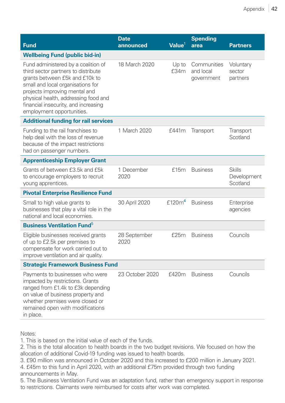| <b>Fund</b>                                                                                                                                                                                                                                                                                     | <b>Date</b><br>announced | Value <sup>1</sup> | <b>Spending</b><br>area                | <b>Partners</b>                          |  |
|-------------------------------------------------------------------------------------------------------------------------------------------------------------------------------------------------------------------------------------------------------------------------------------------------|--------------------------|--------------------|----------------------------------------|------------------------------------------|--|
| <b>Wellbeing Fund (public bid-in)</b>                                                                                                                                                                                                                                                           |                          |                    |                                        |                                          |  |
| Fund administered by a coalition of<br>third sector partners to distribute<br>grants between £5k and £10k to<br>small and local organisations for<br>projects improving mental and<br>physical health, addressing food and<br>financial insecurity, and increasing<br>employment opportunities. | 18 March 2020            | Up to<br>£34m      | Communities<br>and local<br>government | Voluntary<br>sector<br>partners          |  |
| <b>Additional funding for rail services</b>                                                                                                                                                                                                                                                     |                          |                    |                                        |                                          |  |
| Funding to the rail franchises to<br>help deal with the loss of revenue<br>because of the impact restrictions<br>had on passenger numbers.                                                                                                                                                      | 1 March 2020             | £441m              | Transport                              | Transport<br>Scotland                    |  |
| <b>Apprenticeship Employer Grant</b>                                                                                                                                                                                                                                                            |                          |                    |                                        |                                          |  |
| Grants of between £3.5k and £5k<br>to encourage employers to recruit<br>young apprentices.                                                                                                                                                                                                      | 1 December<br>2020       | £15m               | <b>Business</b>                        | <b>Skills</b><br>Development<br>Scotland |  |
| <b>Pivotal Enterprise Resilience Fund</b>                                                                                                                                                                                                                                                       |                          |                    |                                        |                                          |  |
| Small to high value grants to<br>businesses that play a vital role in the<br>national and local economies.                                                                                                                                                                                      | 30 April 2020            | £120m <sup>4</sup> | <b>Business</b>                        | Enterprise<br>agencies                   |  |
| <b>Business Ventilation Fund</b> <sup>5</sup>                                                                                                                                                                                                                                                   |                          |                    |                                        |                                          |  |
| Eligible businesses received grants<br>of up to £2.5k per premises to<br>compensate for work carried out to<br>improve ventilation and air quality.                                                                                                                                             | 28 September<br>2020     | £25m               | <b>Business</b>                        | Councils                                 |  |
| <b>Strategic Framework Business Fund</b>                                                                                                                                                                                                                                                        |                          |                    |                                        |                                          |  |
| Payments to businesses who were<br>impacted by restrictions. Grants<br>ranged from £1.4k to £3k depending<br>on value of business property and<br>whether premises were closed or<br>remained open with modifications<br>in place.                                                              | 23 October 2020          | £420m              | <b>Business</b>                        | Councils                                 |  |

Notes:

1. This is based on the initial value of each of the funds.

2. This is the total allocation to health boards in the two budget revisions. We focused on how the allocation of additional Covid-19 funding was issued to health boards.

3. £90 million was announced in October 2020 and this increased to £200 million in January 2021.

4. £45m to this fund in April 2020, with an additional £75m provided through two funding announcements in May.

5. The Business Ventilation Fund was an adaptation fund, rather than emergency support in response to restrictions. Claimants were reimbursed for costs after work was completed.